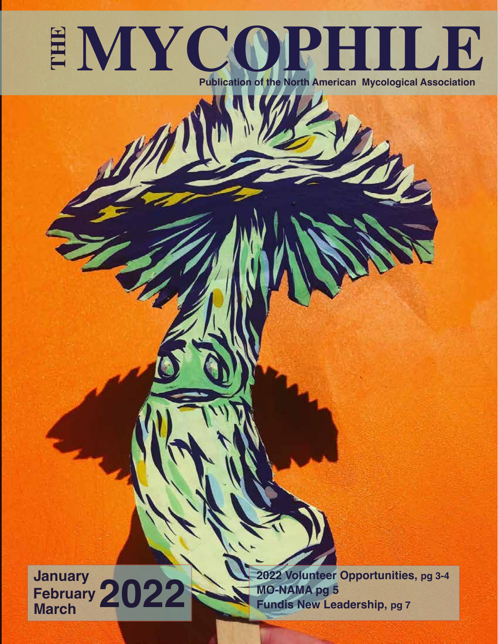## **EMYCOPHILE Publication of the North American Mycological Association**

**January February March 2022**

**2022 Volunteer Opportunities, pg 3-4 MO-NAMA pg 5 Fundis New Leadership, pg 7**

*The Mycophile* 2022 January February March | 1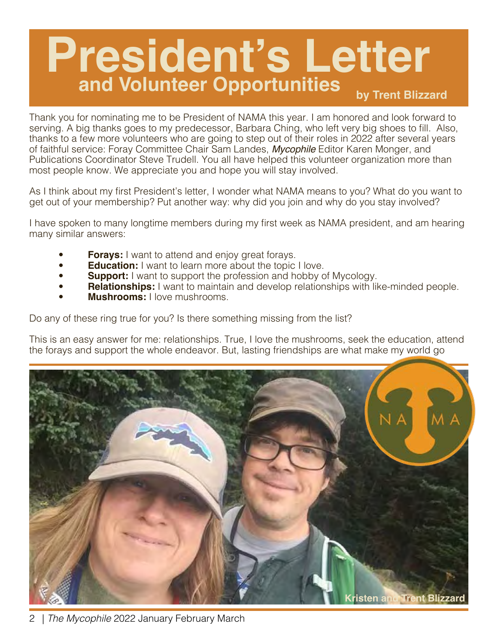### **President's Letter by Trent Blizzard and Volunteer Opportunities**

Thank you for nominating me to be President of NAMA this year. I am honored and look forward to serving. A big thanks goes to my predecessor, Barbara Ching, who left very big shoes to fill. Also, thanks to a few more volunteers who are going to step out of their roles in 2022 after several years of faithful service: Foray Committee Chair Sam Landes, *Mycophile* Editor Karen Monger, and Publications Coordinator Steve Trudell. You all have helped this volunteer organization more than most people know. We appreciate you and hope you will stay involved.

As I think about my first President's letter, I wonder what NAMA means to you? What do you want to get out of your membership? Put another way: why did you join and why do you stay involved?

I have spoken to many longtime members during my first week as NAMA president, and am hearing many similar answers:

- **Forays:** I want to attend and enjoy great forays.
- **Education:** I want to learn more about the topic I love.
- **Support:** I want to support the profession and hobby of Mycology.
- **Relationships:** I want to maintain and develop relationships with like-minded people.
- **Mushrooms:** I love mushrooms.

Do any of these ring true for you? Is there something missing from the list?

This is an easy answer for me: relationships. True, I love the mushrooms, seek the education, attend the forays and support the whole endeavor. But, lasting friendships are what make my world go

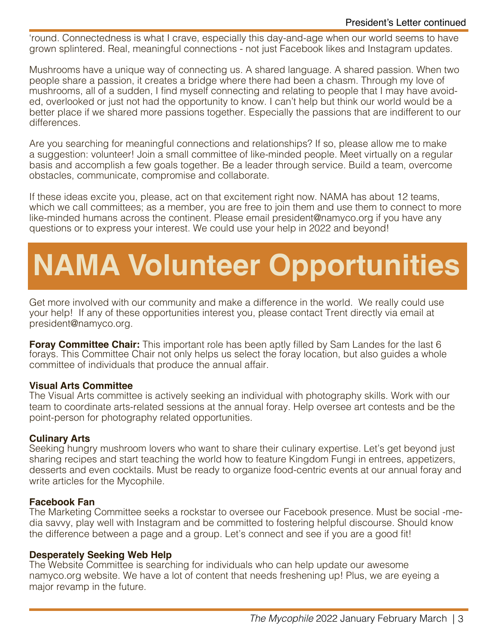'round. Connectedness is what I crave, especially this day-and-age when our world seems to have grown splintered. Real, meaningful connections - not just Facebook likes and Instagram updates.

Mushrooms have a unique way of connecting us. A shared language. A shared passion. When two people share a passion, it creates a bridge where there had been a chasm. Through my love of mushrooms, all of a sudden, I find myself connecting and relating to people that I may have avoided, overlooked or just not had the opportunity to know. I can't help but think our world would be a better place if we shared more passions together. Especially the passions that are indifferent to our differences.

Are you searching for meaningful connections and relationships? If so, please allow me to make a suggestion: volunteer! Join a small committee of like-minded people. Meet virtually on a regular basis and accomplish a few goals together. Be a leader through service. Build a team, overcome obstacles, communicate, compromise and collaborate.

If these ideas excite you, please, act on that excitement right now. NAMA has about 12 teams, which we call committees; as a member, you are free to join them and use them to connect to more like-minded humans across the continent. Please email [president@namyco.org if](mailto:president@namyco.org) you have any questions or to express your interest. We could use your help in 2022 and beyond!

## **NAMA Volunteer Opportunities**

Get more involved with our community and make a difference in the world. We really could use your help! If any of these opportunities interest you, please contact Trent directly via email at [president@namyco.org.](mailto:president@namyco.org)

**Foray Committee Chair:** This important role has been aptly filled by Sam Landes for the last 6 forays. This Committee Chair not only helps us select the foray location, but also guides a whole committee of individuals that produce the annual affair.

#### **Visual Arts Committee**

The Visual Arts committee is actively seeking an individual with photography skills. Work with our team to coordinate arts-related sessions at the annual foray. Help oversee art contests and be the point-person for photography related opportunities.

#### **Culinary Arts**

Seeking hungry mushroom lovers who want to share their culinary expertise. Let's get beyond just sharing recipes and start teaching the world how to feature Kingdom Fungi in entrees, appetizers, desserts and even cocktails. Must be ready to organize food-centric events at our annual foray and write articles for the Mycophile.

#### **Facebook Fan**

The Marketing Committee seeks a rockstar to oversee our Facebook presence. Must be social -media savvy, play well with Instagram and be committed to fostering helpful discourse. Should know the difference between a page and a group. Let's connect and see if you are a good fit!

#### **Desperately Seeking Web Help**

The Website Committee is searching for individuals who can help update our awesome [na](http://www.na-myco.org)[myco.org website. We have a lot of content that needs freshening up! Plus, we are eyeing a](http://www.na-myco.org)  major revamp in the future.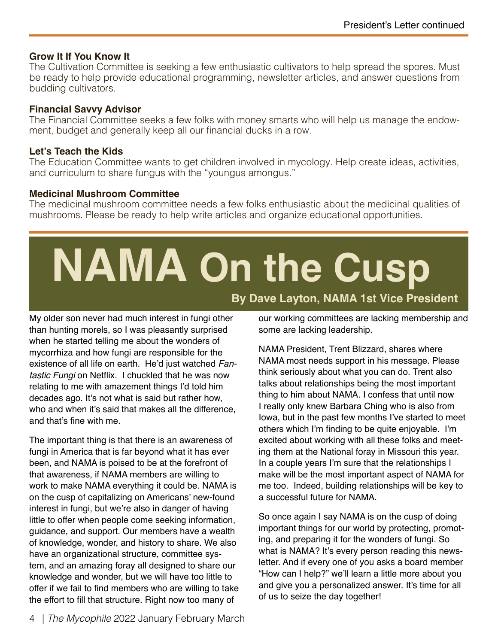#### **Grow It If You Know It**

The Cultivation Committee is seeking a few enthusiastic cultivators to help spread the spores. Must be ready to help provide educational programming, newsletter articles, and answer questions from budding cultivators.

#### **Financial Savvy Advisor**

The Financial Committee seeks a few folks with money smarts who will help us manage the endowment, budget and generally keep all our financial ducks in a row.

#### **Let's Teach the Kids**

The Education Committee wants to get children involved in mycology. Help create ideas, activities, and curriculum to share fungus with the "youngus amongus."

#### **Medicinal Mushroom Committee**

The medicinal mushroom committee needs a few folks enthusiastic about the medicinal qualities of mushrooms. Please be ready to help write articles and organize educational opportunities.

## **NAMA On the Cusp By Dave Layton, NAMA 1st Vice President**

My older son never had much interest in fungi other than hunting morels, so I was pleasantly surprised when he started telling me about the wonders of mycorrhiza and how fungi are responsible for the existence of all life on earth. He'd just watched *Fantastic Fungi* on Netflix. I chuckled that he was now relating to me with amazement things I'd told him decades ago. It's not what is said but rather how, who and when it's said that makes all the difference. and that's fine with me.

The important thing is that there is an awareness of fungi in America that is far beyond what it has ever been, and NAMA is poised to be at the forefront of that awareness, if NAMA members are willing to work to make NAMA everything it could be. NAMA is on the cusp of capitalizing on Americans' new-found interest in fungi, but we're also in danger of having little to offer when people come seeking information, guidance, and support. Our members have a wealth of knowledge, wonder, and history to share. We also have an organizational structure, committee system, and an amazing foray all designed to share our knowledge and wonder, but we will have too little to offer if we fail to find members who are willing to take the effort to fill that structure. Right now too many of

our working committees are lacking membership and some are lacking leadership.

NAMA President, Trent Blizzard, shares where NAMA most needs support in his message. Please think seriously about what you can do. Trent also talks about relationships being the most important thing to him about NAMA. I confess that until now I really only knew Barbara Ching who is also from Iowa, but in the past few months I've started to meet others which I'm finding to be quite enjoyable. I'm excited about working with all these folks and meeting them at the National foray in Missouri this year. In a couple years I'm sure that the relationships I make will be the most important aspect of NAMA for me too. Indeed, building relationships will be key to a successful future for NAMA.

So once again I say NAMA is on the cusp of doing important things for our world by protecting, promoting, and preparing it for the wonders of fungi. So what is NAMA? It's every person reading this newsletter. And if every one of you asks a board member "How can I help?" we'll learn a little more about you and give you a personalized answer. It's time for all of us to seize the day together!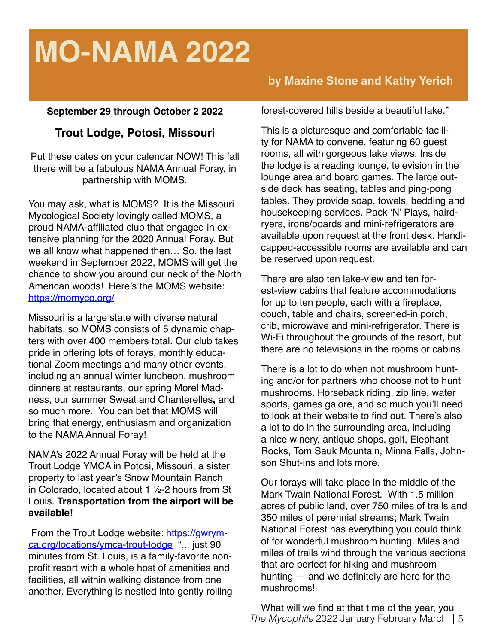## **MO-NAMA 2022**

#### **September 29 through October 2 2022**

#### **Trout Lodge, Potosi, Missouri**

Put these dates on your calendar NOW! This fall there will be a fabulous NAMA Annual Foray, in partnership with MOMS.

You may ask, what is MOMS? It is the [Missouri](https://momyco.org/)  [Mycological Society](https://momyco.org/) lovingly called MOMS, a proud NAMA-affiliated club that engaged in extensive planning for the 2020 Annual Foray. But we all know what happened then… So, the last weekend in September 2022, MOMS will get the chance to show you around our neck of the North American woods! Here's the MOMS website: <https://momyco.org/>

Missouri is a large state with diverse natural habitats, so MOMS consists of 5 dynamic chapters with over 400 members total. Our club takes pride in offering lots of forays, monthly educational Zoom meetings and many other events, including an annual winter luncheon, mushroom dinners at restaurants, our spring Morel Madness, our summer Sweat and Chanterelles**,** and so much more. You can bet that MOMS will bring that energy, enthusiasm and organization to the NAMA Annual Foray!

NAMA's 2022 Annual Foray will be held at the Trout Lodge YMCA in Potosi, Missouri, a sister property to last year's Snow Mountain Ranch in Colorado, located about 1 ½-2 hours from St Louis. **Transportation from the airport will be available!**

[From the Trout Lodge website: https://gwrym](https://gwrym-ca.org/locations/ymca-trout-lodge)ca[.org/locations/ymca-trout-lodge ".](https://gwrym-ca.org/locations/ymca-trout-lodge).. just 90 minutes from St. Louis, is a family-favorite nonprofit resort with a whole host of amenities and facilities, all within walking distance from one another. Everything is nestled into gently rolling

#### **by Maxine Stone and Kathy Yerich**

forest-covered hills beside a beautiful lake."

This is a picturesque and comfortable facility for NAMA to convene, featuring 60 guest rooms, all with gorgeous lake views. Inside the lodge is a reading lounge, television in the lounge area and board games. The large outside deck has seating, tables and ping-pong tables. They provide soap, towels, bedding and housekeeping services. Pack 'N' Plays, hairdryers, irons/boards and mini-refrigerators are available upon request at the front desk. Handicapped-accessible rooms are available and can be reserved upon request.

There are also ten lake-view and ten forest-view cabins that feature accommodations for up to ten people, each with a fireplace, couch, table and chairs, screened-in porch, crib, microwave and mini-refrigerator. There is Wi-Fi throughout the grounds of the resort, but there are no televisions in the rooms or cabins.

There is a lot to do when not mushroom hunting and/or for partners who choose not to hunt mushrooms. Horseback riding, zip line, water sports, games galore, and so much you'll need to look at their website to find out. There's also a lot to do in the surrounding area, including a nice winery, antique shops, golf, Elephant Rocks, Tom Sauk Mountain, Minna Falls, Johnson Shut-ins and lots more.

Our forays will take place in the middle of the [Mark Twain National Forest.](https://www.fs.usda.gov/mtnf) With 1.5 million acres of public land, over 750 miles of trails and 350 miles of perennial streams; Mark Twain National Forest has everything you could think of for wonderful mushroom hunting. Miles and miles of trails wind through the various sections that are perfect for hiking and mushroom hunting — and we definitely are here for the mushrooms!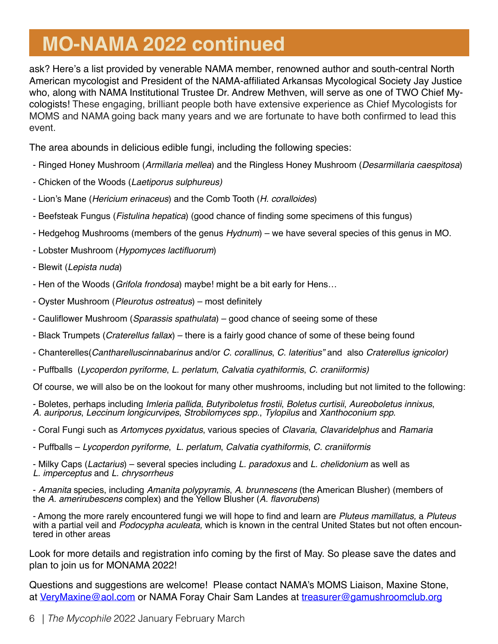### **MO-NAMA 2022 continued**

ask? Here's a list provided by venerable NAMA member, renowned author and south-central North American mycologist and President of the NAMA-affiliated [Arkansas Mycological Society](https://encyclopediaofarkansas.net/entries/arkansas-mycological-society-3814/) Jay Justice who, along with NAMA Institutional Trustee Dr. Andrew Methven, will serve as one of TWO Chief Mycologists! These engaging, brilliant people both have extensive experience as Chief Mycologists for MOMS and NAMA going back many years and we are fortunate to have both confirmed to lead this event.

The area abounds in delicious edible fungi, including the following species:

- Ringed Honey Mushroom (*Armillaria mellea*) and the Ringless Honey Mushroom (*Desarmillaria caespitosa*)
- Chicken of the Woods (*Laetiporus sulphureus)*
- Lion's Mane (*Hericium erinaceus*) and the Comb Tooth (*H. coralloides*)
- Beefsteak Fungus (*Fistulina hepatica*) (good chance of finding some specimens of this fungus)
- Hedgehog Mushrooms (members of the genus *Hydnum*) we have several species of this genus in MO.
- Lobster Mushroom (Hypomyces lactifluorum)
- Blewit (*Lepista nuda*)
- Hen of the Woods (*Grifola frondosa*) maybe! might be a bit early for Hens…
- Oyster Mushroom (*Pleurotus ostreatus*) most definitely
- Cauliflower Mushroom (*Sparassis spathulata*) good chance of seeing some of these
- Black Trumpets (*Craterellus fallax*) there is a fairly good chance of some of these being found
- Chanterelles(*Cantharelluscinnabarinus* and/or *C. corallinus*, *C. lateritius"* and also *Craterellus ignicolor)*
- Puffballs (*Lycoperdon pyriforme*, *L. perlatum*, *Calvatia cyathiformis*, *C. craniiformis)*

Of course, we will also be on the lookout for many other mushrooms, including but not limited to the following:

- Boletes, perhaps including *Imleria pallida*, *Butyriboletus frostii*, *Boletus curtisii*, *Aureoboletus innixus*, *A. auriporus*, *Leccinum longicurvipes*, *Strobilomyces spp.*, *Tylopilus* and *Xanthoconium spp*.

- Coral Fungi such as *Artomyces pyxidatus*, various species of *Clavaria*, *Clavaridelphus* and *Ramaria*
- Puffballs *Lycoperdon pyriforme*, *L. perlatum*, *Calvatia cyathiformis*, *C. craniiformis*

- Milky Caps (*Lactarius*) – several species including *L. paradoxus* and *L. chelidonium* as well as *L. imperceptus* and *L. chrysorrheus*

- *Amanita* species, including *Amanita polypyramis*, *A. brunnescens* (the American Blusher) (members of the *A. amerirubescens* complex) and the Yellow Blusher (A. flavorubens)

- Among the more rarely encountered fungi we will hope to find and learn are *Pluteus mamillatus,* a *Pluteus* with a partial veil and *Podocypha aculeata,* which is known in the central United States but not often encoun- tered in other areas

Look for more details and registration info coming by the first of May. So please save the dates and plan to join us for MONAMA 2022!

Questions and suggestions are welcome! Please contact NAMA's MOMS Liaison, Maxine Stone, at [VeryMaxine@aol.com](mailto:VeryMaxine@aol.com) or NAMA Foray Chair Sam Landes at [treasurer@gamushroomclub.org](mailto:treasurer@gamushroomclub.org)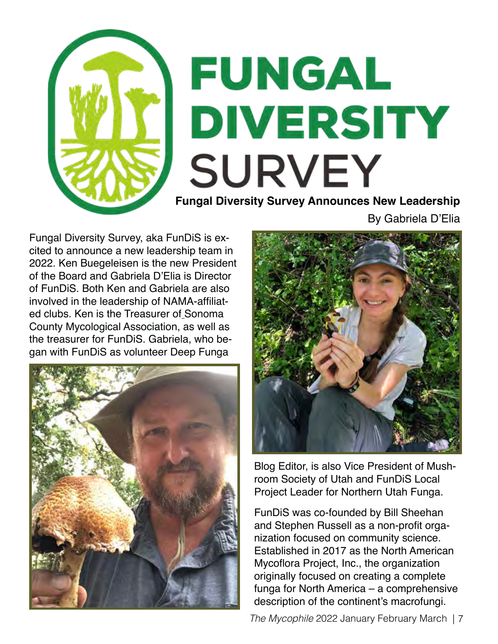

By Gabriela D'Elia

[Fungal Diversity Survey, aka FunDiS i](https://fundis.org/)s excited to announce a new leadership team in 2022. Ken Buegeleisen is the new President of the Board and Gabriela D'Elia is Director of FunDiS. Both Ken and Gabriela are also involved in the leadership of NAMA-affiliated clubs. Ken is the Treasurer of [Sonoma](https://www.somamushrooms.org/)  [County Mycological Association,](https://www.somamushrooms.org/) as well as the treasurer for FunDiS. Gabriela, who began with FunDiS as volunteer [Deep Funga](https://fundis.org/resources/blog) 





[Blog Editor,](https://fundis.org/resources/blog) is also Vice President of [Mush](https://www.utahmushrooms.org/)[room Society of Utah](https://www.utahmushrooms.org/) and FunDiS Local Project Leader for [Northern Utah Funga.](https://www.utahmushrooms.org/post/northern-utah-funga-project-intro)

FunDiS was co-founded by Bill Sheehan and Stephen Russell as a non-profit organization focused on community science. Established in 2017 as the North American Mycoflora Project, Inc., the organization originally focused on creating a complete funga for North America – a comprehensive description of the continent's macrofungi.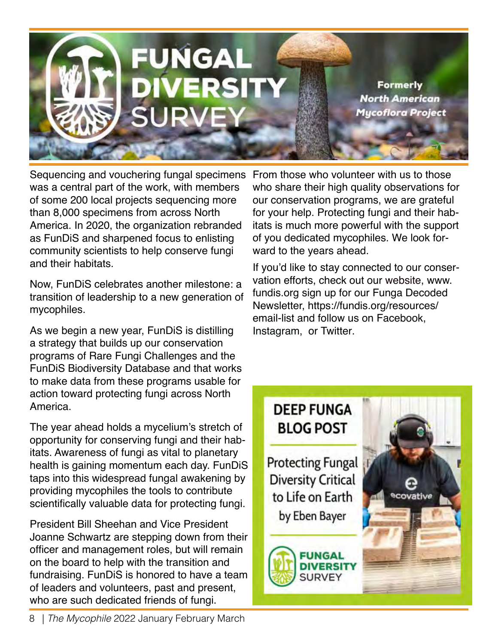

Sequencing and vouchering fungal specimens From those who volunteer with us to those was a central part of the work, with members of some 200 local projects sequencing more than 8,000 specimens from across North America. In 2020, the organization rebranded as FunDiS and sharpened focus to enlisting community scientists to help conserve fungi and their habitats.

Now, FunDiS celebrates another milestone: a transition of leadership to a new generation of mycophiles.

As we begin a new year, FunDiS is distilling a strategy that builds up our conservation programs of Rare Fungi Challenges and the **FunDiS Biodiversity Database and that works** to make data from these programs usable for action toward protecting fungi across North America.

The year ahead holds a mycelium's stretch of opportunity for conserving fungi and their habitats. Awareness of fungi as vital to planetary health is gaining momentum each day. FunDiS taps into this widespread fungal awakening by providing mycophiles the tools to contribute scientifically valuable data for protecting fungi.

**President Bill Sheehan and Vice President** Joanne Schwartz are stepping down from their officer and management roles, but will remain on the board to help with the transition and fundraising. FunDiS is honored to have a team of leaders and volunteers, past and present, who are such dedicated friends of fungi.

who share their high quality observations for our conservation programs, we are grateful for your help. Protecting fungi and their habitats is much more powerful with the support of you dedicated mycophiles. We look forward to the years ahead.

If you'd like to stay connected to our conservation efforts, check out our website, [www.](http://www.fundis.org) [fundis.org sig](http://www.fundis.org)n up for our Funga Decoded [Newsletter,](https://fundis.org/resources/) https://fundis.org/resources/ email-list and follow us on [Facebook,](https://www.facebook.com/fungaldiversitysurvey)  [Instagram,](https://www.instagram.com/fungal-diversitysurvey/) or [Twitter.](https://twitter.com/)

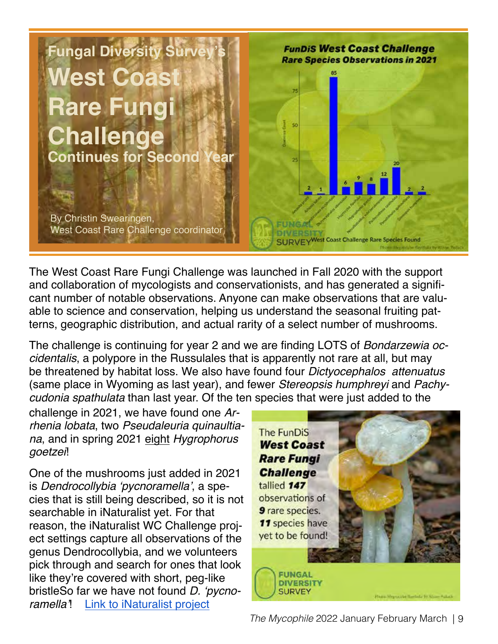

The West Coast Rare Fungi Challenge was launched in Fall 2020 with the support and collaboration of mycologists and conservationists, and has generated a significant number of notable observations. Anyone can make observations that are valuable to science and conservation, helping us understand the seasonal fruiting patterns, geographic distribution, and actual rarity of a select number of mushrooms.

The challenge is continuing for year 2 and we are finding LOTS of *Bondarzewia occidentalis*, a polypore in the Russulales that is apparently not rare at all, but may be threatened by habitat loss. We also have found four *Dictyocephalos attenuatus* (same place in Wyoming as last year), and fewer *Stereopsis humphreyi* and *Pachycudonia spathulata* than last year. Of the ten species that were just added to the

challenge in 2021, we have found one *Arrhenia lobata*, two *Pseudaleuria quinaultiana*, and in spring 2021 eight *Hygrophorus goetzei*!

One of the mushrooms just added in 2021 is Dendrocollybia 'pycnoramella', a species that is still being described, so it is not searchable in iNaturalist yet. For that reason, the iNaturalist WC Challenge project settings capture all observations of the genus Dendrocollybia, and we volunteers pick through and search for ones that look like they're covered with short, peg-like bristleSo far we have not found D. 'pycnoramella'! [Link to iNaturalist project](https://www.inaturalist.org/projects/fundis-west-coast-rare-fungi-challenge-ef75a1f8-d488-48f4-ae6c-d0a8c64a9fb3) 

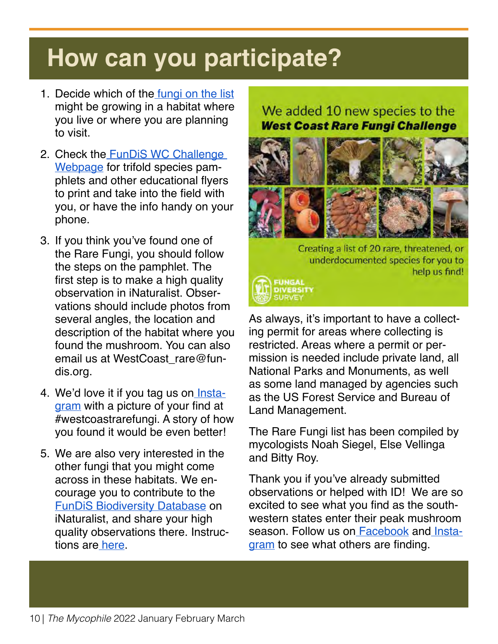## **How can you participate?**

- 1. Decide which of the [fungi on the list](https://www.inaturalist.org/projects/pilot-fundis-west-coast-rare-fungi-challenge-20-21) might be growing in a habitat where you live or where you are planning to visit.
- 2. [Check the FunDiS WC Challenge](https://fundis.org/protect/take-action) Webpage for trifold species pamphlets and other educational flyers to print and take into the field with you, or have the info handy on your phone.
- 3. If you think you've found one of the Rare Fungi, you should follow the steps on the pamphlet. The first step is to make a high quality observation in iNaturalist. Observations should include photos from several angles, the location and description of the habitat where you found the mushroom. You can also [email us at WestCoast\\_rare@fun](mailto:WestCoast_rare@fun-dis.org)dis[.org.](mailto:WestCoast_rare@fun-dis.org)
- 4. We'd love it if you tag us on *Insta*gram with a picture of your find at #westcoastrarefungi. A story of how you found it would be even better!
- 5. We are also very interested in the other fungi that you might come across in these habitats. We encourage you to contribute to the [FunDiS Biodiversity Database on](https://www.inaturalist.org/projects/fundis-biodiversity-database) iNaturalist, and share your high quality observations there. Instruc[tions are here.](https://www.inaturalist.org/projects/fundis-biodiversity-database/journal/60360-welcome-to-the-fundis-biodiversity-database)

#### We added 10 new species to the **West Coast Rare Fungi Challenge**



Creating a list of 20 rare, threatened, or underdocumented species for you to help us find!



As always, it's important to have a collecting permit for areas where collecting is restricted. Areas where a permit or permission is needed include private land, all National Parks and Monuments, as well as some land managed by agencies such as the US Forest Service and Bureau of Land Management.

The Rare Fungi list has been compiled by mycologists Noah Siegel, Else Vellinga and Bitty Roy.

Thank you if you've already submitted observations or helped with ID! We are so excited to see what you find as the southwestern states enter their peak mushroom season. Follow us o[n Facebook](https://www.facebook.com/groups/fungaldiversitysurvey/) and [Insta](https://www.instagram.com/fungaldiversitysurvey/?hl=en)[gram to](https://www.instagram.com/fungaldiversitysurvey/?hl=en) see what others are finding.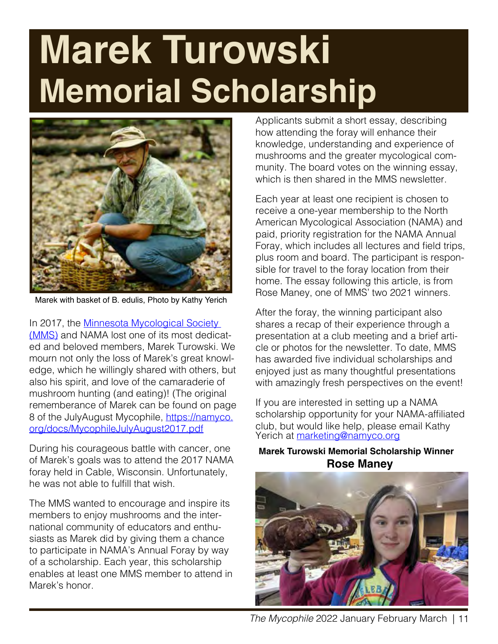## **Marek Turowski Memorial Scholarship**



Marek with basket of B. edulis, Photo by Kathy Yerich

In 2017, the Minnesota Mycological Society [\(MMS\) and NAMA lost one of its most dedicat](https://minnesotamycologicalsociety.org/)ed and beloved members, Marek Turowski. We mourn not only the loss of Marek's great knowledge, which he willingly shared with others, but also his spirit, and love of the camaraderie of mushroom hunting (and eating)! (The original rememberance of Marek can be found on page 8 of the JulyAugust Mycophile, [https://namyco.](https://namyco) org/docs/MycophileJulyAugust2017.pdf

During his courageous battle with cancer, one of Marek's goals was to attend the 2017 NAMA foray held in Cable, Wisconsin. Unfortunately, he was not able to fulfill that wish.

The MMS wanted to encourage and inspire its members to enjoy mushrooms and the international community of educators and enthusiasts as Marek did by giving them a chance to participate in NAMA's Annual Foray by way of a scholarship. Each year, this scholarship enables at least one MMS member to attend in Marek's honor.

Applicants submit a short essay, describing how attending the foray will enhance their knowledge, understanding and experience of mushrooms and the greater mycological community. The board votes on the winning essay, which is then shared in the MMS newsletter.

Each year at least one recipient is chosen to receive a one-year membership to the North American Mycological Association (NAMA) and paid, priority registration for the NAMA Annual Foray, which includes all lectures and field trips, plus room and board. The participant is responsible for travel to the foray location from their home. The essay following this article, is from Rose Maney, one of MMS' two 2021 winners.

After the foray, the winning participant also shares a recap of their experience through a presentation at a club meeting and a brief article or photos for the newsletter. To date, MMS has awarded five individual scholarships and enjoyed just as many thoughtful presentations with amazingly fresh perspectives on the event!

If you are interested in setting up a NAMA scholarship opportunity for your NAMA-affiliated club, but would like help, please email Kathy Yerich at [marketing@namyco.org](mailto:marketing@namyco.org)

#### **Marek Turowski Memorial Scholarship Winner Rose Maney**

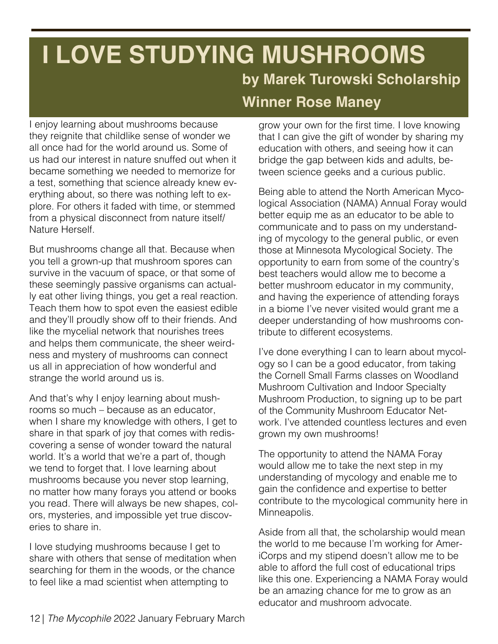### **I LOVE STUDYING MUSHROOMS by Marek Turowski Scholarship Winner Rose Maney**

I enjoy learning about mushrooms because they reignite that childlike sense of wonder we all once had for the world around us. Some of us had our interest in nature snuffed out when it became something we needed to memorize for a test, something that science already knew everything about, so there was nothing left to explore. For others it faded with time, or stemmed from a physical disconnect from nature itself/ Nature Herself.

But mushrooms change all that. Because when you tell a grown-up that mushroom spores can survive in the vacuum of space, or that some of these seemingly passive organisms can actually eat other living things, you get a real reaction. Teach them how to spot even the easiest edible and they'll proudly show off to their friends. And like the mycelial network that nourishes trees and helps them communicate, the sheer weirdness and mystery of mushrooms can connect us all in appreciation of how wonderful and strange the world around us is.

And that's why I enjoy learning about mushrooms so much – because as an educator, when I share my knowledge with others, I get to share in that spark of joy that comes with rediscovering a sense of wonder toward the natural world. It's a world that we're a part of, though we tend to forget that. I love learning about mushrooms because you never stop learning, no matter how many forays you attend or books you read. There will always be new shapes, colors, mysteries, and impossible yet true discoveries to share in.

I love studying mushrooms because I get to share with others that sense of meditation when searching for them in the woods, or the chance to feel like a mad scientist when attempting to

grow your own for the first time. I love knowing that I can give the gift of wonder by sharing my education with others, and seeing how it can bridge the gap between kids and adults, between science geeks and a curious public.

Being able to attend the North American Mycological Association (NAMA) Annual Foray would better equip me as an educator to be able to communicate and to pass on my understanding of mycology to the general public, or even those at Minnesota Mycological Society. The opportunity to earn from some of the country's best teachers would allow me to become a better mushroom educator in my community, and having the experience of attending forays in a biome I've never visited would grant me a deeper understanding of how mushrooms contribute to different ecosystems.

I've done everything I can to learn about mycology so I can be a good educator, from taking the Cornell Small Farms classes on Woodland Mushroom Cultivation and Indoor Specialty Mushroom Production, to signing up to be part of the Community Mushroom Educator Network. I've attended countless lectures and even grown my own mushrooms!

The opportunity to attend the NAMA Foray would allow me to take the next step in my understanding of mycology and enable me to gain the confidence and expertise to better contribute to the mycological community here in Minneapolis.

Aside from all that, the scholarship would mean the world to me because I'm working for AmeriCorps and my stipend doesn't allow me to be able to afford the full cost of educational trips like this one. Experiencing a NAMA Foray would be an amazing chance for me to grow as an educator and mushroom advocate.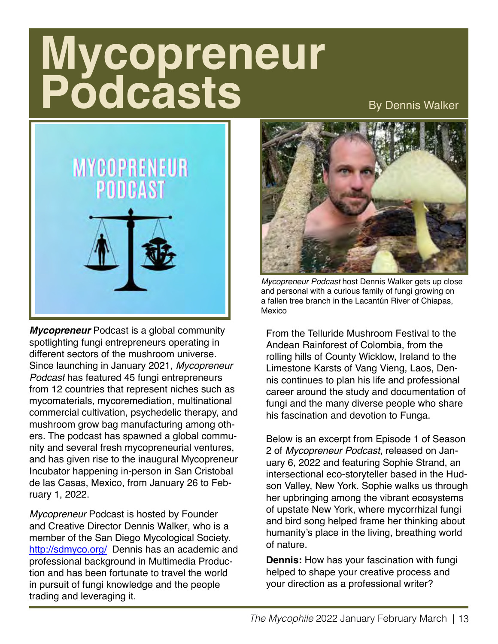## **Mycopreneur Podcasts**

By Dennis Walker



*Mycopreneur* Podcast is a global community spotlighting fungi entrepreneurs operating in different sectors of the mushroom universe. Since launching in January 2021, *Mycopreneur Podcast* has featured 45 fungi entrepreneurs from 12 countries that represent niches such as mycomaterials, mycoremediation, multinational commercial cultivation, psychedelic therapy, and mushroom grow bag manufacturing among others. The podcast has spawned a global community and several fresh mycopreneurial ventures, and has given rise to the inaugural Mycopreneur Incubator happening in-person in San Cristobal de las Casas, Mexico, from January 26 to February 1, 2022.

*Mycopreneur* Podcast is hosted by Founder and Creative Director Dennis Walker, who is a member of the [San Diego Mycological Society.](http://sdmyco.org/)  [http://sdmyco.org/ De](http://sdmyco.org/)nnis has an academic and professional background in Multimedia Production and has been fortunate to travel the world in pursuit of fungi knowledge and the people trading and leveraging it.



*Mycopreneur Podcast* host Dennis Walker gets up close and personal with a curious family of fungi growing on a fallen tree branch in the Lacantún River of Chiapas, Mexico

From the [Telluride Mushroom Festival](https://www.tellurideinstitute.org/telluride-mushroom-festival/) to the Andean Rainforest of Colombia, from the rolling hills of County Wicklow, Ireland to the Limestone Karsts of Vang Vieng, Laos, Dennis continues to plan his life and professional career around the study and documentation of fungi and the many diverse people who share his fascination and devotion to [Funga.](https://podcasts.apple.com/us/pod-cast/mycopreneur/id1550343391) 

Below is an excerpt from Episode 1 of Season 2 of *Mycopreneur Podcast*, released on January 6, 2022 and featuring Sophie Strand, an intersectional eco-storyteller based in the Hudson Valley, New York. Sophie walks us through her upbringing among the vibrant ecosystems of upstate New York, where mycorrhizal fungi and bird song helped frame her thinking about humanity's place in the living, breathing world of nature.

**Dennis:** How has your fascination with fungi helped to shape your creative process and your direction as a professional writer?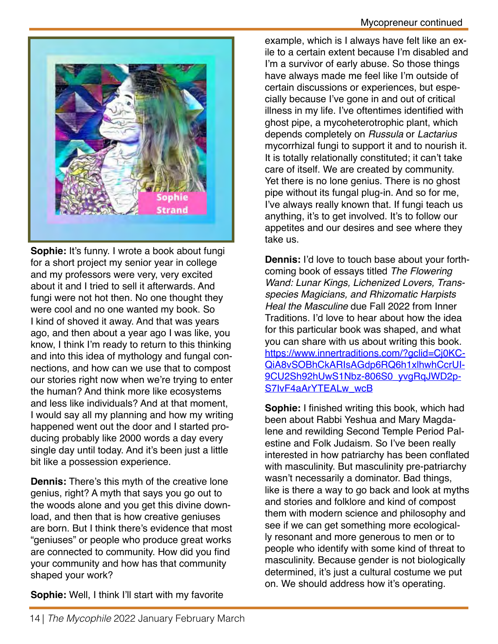

**Sophie:** It's funny. I wrote a book about fungi for a short project my senior year in college and my professors were very, very excited about it and I tried to sell it afterwards. And fungi were not hot then. No one thought they were cool and no one wanted my book. So I kind of shoved it away. And that was years ago, and then about a year ago I was like, you know, I think I'm ready to return to this thinking and into this idea of mythology and fungal connections, and how can we use that to compost our stories right now when we're trying to enter the human? And think more like ecosystems and less like individuals? And at that moment, I would say all my planning and how my writing happened went out the door and I started producing probably like 2000 words a day every single day until today. And it's been just a little bit like a possession experience.

**Dennis:** There's this myth of the creative lone genius, right? A myth that says you go out to the woods alone and you get this divine download, and then that is how creative geniuses are born. But I think there's evidence that most "geniuses" or people who produce great works are connected to community. How did you find your community and how has that community shaped your work?

**Sophie:** Well, I think I'll start with my favorite

example, which is I always have felt like an exile to a certain extent because I'm disabled and I'm a survivor of early abuse. So those things have always made me feel like I'm outside of certain discussions or experiences, but especially because I've gone in and out of critical illness in my life. I've oftentimes identified with ghost pipe, a mycoheterotrophic plant, which depends completely on *Russula* or *Lactarius* mycorrhizal fungi to support it and to nourish it. It is totally relationally constituted; it can't take care of itself. We are created by community. Yet there is no lone genius. There is no ghost pipe without its fungal plug-in. And so for me, I've always really known that. If fungi teach us anything, it's to get involved. It's to follow our appetites and our desires and see where they take us.

**Dennis:** I'd love to touch base about your forthcoming book of essays titled *The Flowering Wand: Lunar Kings, Lichenized Lovers, Transspecies Magicians, and Rhizomatic Harpists Heal the Masculine* due Fall 2022 from Inner Traditions. I'd love to hear about how the idea for this particular book was shaped, and what you can share with us about writing this book. [https://www.innertraditions.com/?gclid=Cj0KC-](https://www.innertraditions.com/?gclid=Cj0KC-QiA8vSOBhCkARIsAGdp6RQ6h1xlhwhCcrUI-9CU2Sh92hUwS1Nbz-806S0_yvgRqJWD2p-S7IvF4aArYTEALw_wcB)QiA8vSOBhCkARIsAGdp6RQ6h1xlhwhCcrUI-[9CU2Sh92hUwS1Nbz-806S0\\_yvgRqJWD2p-](https://www.innertraditions.com/?gclid=Cj0KC-QiA8vSOBhCkARIsAGdp6RQ6h1xlhwhCcrUI-9CU2Sh92hUwS1Nbz-806S0_yvgRqJWD2p-S7IvF4aArYTEALw_wcB)[S7IvF4aArYTEALw\\_wcB](https://www.innertraditions.com/?gclid=Cj0KC-QiA8vSOBhCkARIsAGdp6RQ6h1xlhwhCcrUI-9CU2Sh92hUwS1Nbz-806S0_yvgRqJWD2p-S7IvF4aArYTEALw_wcB)

**Sophie:** I finished writing this book, which had been about Rabbi Yeshua and Mary Magdalene and rewilding Second Temple Period Palestine and Folk Judaism. So I've been really interested in how patriarchy has been conflated with masculinity. But masculinity pre-patriarchy wasn't necessarily a dominator. Bad things, like is there a way to go back and look at myths and stories and folklore and kind of compost them with modern science and philosophy and see if we can get something more ecologically resonant and more generous to men or to people who identify with some kind of threat to masculinity. Because gender is not biologically determined, it's just a cultural costume we put on. We should address how it's operating.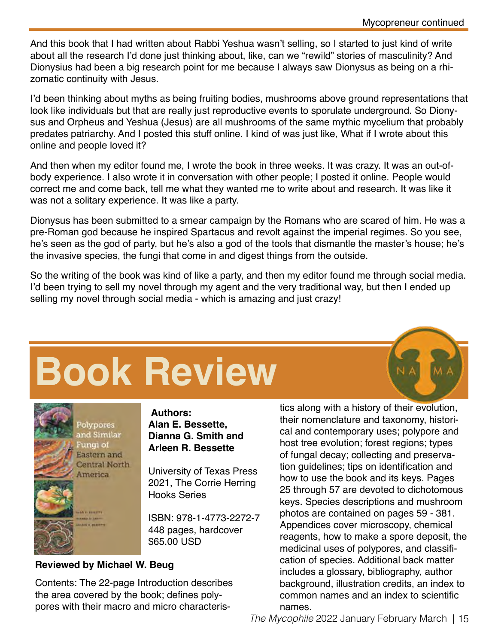And this book that I had written about Rabbi Yeshua wasn't selling, so I started to just kind of write about all the research I'd done just thinking about, like, can we "rewild" stories of masculinity? And Dionysius had been a big research point for me because I always saw Dionysus as being on a rhizomatic continuity with Jesus.

I'd been thinking about myths as being fruiting bodies, mushrooms above ground representations that look like individuals but that are really just reproductive events to sporulate underground. So Dionysus and Orpheus and Yeshua (Jesus) are all mushrooms of the same mythic mycelium that probably predates patriarchy. And I posted this stuff online. I kind of was just like, What if I wrote about this online and people loved it?

And then when my editor found me, I wrote the book in three weeks. It was crazy. It was an out-ofbody experience. I also wrote it in conversation with other people; I posted it online. People would correct me and come back, tell me what they wanted me to write about and research. It was like it was not a solitary experience. It was like a party.

Dionysus has been submitted to a smear campaign by the Romans who are scared of him. He was a pre-Roman god because he inspired Spartacus and revolt against the imperial regimes. So you see, he's seen as the god of party, but he's also a god of the tools that dismantle the master's house; he's the invasive species, the fungi that come in and digest things from the outside.

So the writing of the book was kind of like a party, and then my editor found me through social media. I'd been trying to sell my novel through my agent and the very traditional way, but then I ended up selling my novel through social media - which is amazing and just crazy!

# **Book Review**



**Alan E. Bessette, Dianna G. Smith and Arleen R. Bessette**

University of Texas Press 2021, The Corrie Herring Hooks Series

ISBN: 978-1-4773-2272-7 448 pages, hardcover \$65.00 USD

#### **Reviewed by Michael W. Beug**

Contents: The 22-page Introduction describes the area covered by the book; defines polypores with their macro and micro characteris-

tics along with a history of their evolution, their nomenclature and taxonomy, historical and contemporary uses; polypore and host tree evolution; forest regions; types of fungal decay; collecting and preservation guidelines; tips on identification and how to use the book and its keys. Pages 25 through 57 are devoted to dichotomous keys. Species descriptions and mushroom photos are contained on pages 59 - 381. Appendices cover microscopy, chemical reagents, how to make a spore deposit, the medicinal uses of polypores, and classification of species. Additional back matter includes a glossary, bibliography, author background, illustration credits, an index to common names and an index to scientific names.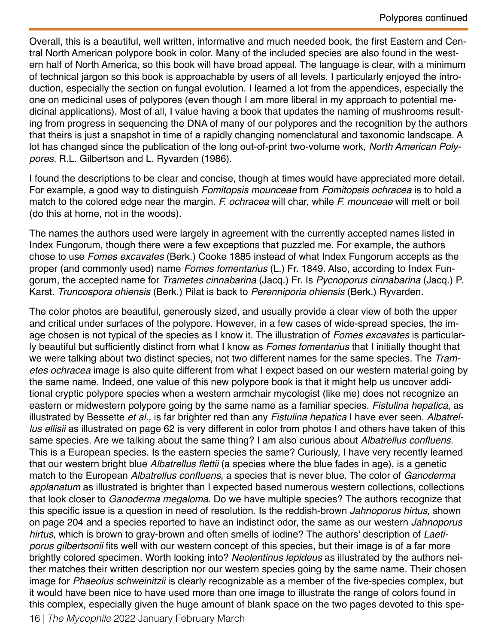Overall, this is a beautiful, well written, informative and much needed book, the first Eastern and Central North American polypore book in color. Many of the included species are also found in the western half of North America, so this book will have broad appeal. The language is clear, with a minimum of technical jargon so this book is approachable by users of all levels. I particularly enjoyed the introduction, especially the section on fungal evolution. I learned a lot from the appendices, especially the one on medicinal uses of polypores (even though I am more liberal in my approach to potential medicinal applications). Most of all, I value having a book that updates the naming of mushrooms resulting from progress in sequencing the DNA of many of our polypores and the recognition by the authors that theirs is just a snapshot in time of a rapidly changing nomenclatural and taxonomic landscape. A lot has changed since the publication of the long out-of-print two-volume work, *North American Polypores*, R.L. Gilbertson and L. Ryvarden (1986).

I found the descriptions to be clear and concise, though at times would have appreciated more detail. For example, a good way to distinguish *Fomitopsis mounceae* from *Fomitopsis ochracea* is to hold a match to the colored edge near the margin. *F. ochracea* will char, while *F. mounceae* will melt or boil (do this at home, not in the woods).

The names the authors used were largely in agreement with the currently accepted names listed in Index Fungorum, though there were a few exceptions that puzzled me. For example, the authors chose to use *Fomes excavates* (Berk.) Cooke 1885 instead of what Index Fungorum accepts as the proper (and commonly used) name *Fomes fomentarius* (L.) Fr. 1849. Also, according to Index Fungorum, the accepted name for *Trametes cinnabarina* (Jacq.) Fr. Is *Pycnoporus cinnabarina* (Jacq.) P. Karst. *Truncospora ohiensis* (Berk.) Pilat is back to *Perenniporia ohiensis* (Berk*.*) Ryvarden.

16 | *The Mycophile* 2022 January February March The color photos are beautiful, generously sized, and usually provide a clear view of both the upper and critical under surfaces of the polypore. However, in a few cases of wide-spread species, the image chosen is not typical of the species as I know it. The illustration of *Fomes excavates* is particularly beautiful but sufficiently distinct from what I know as *Fomes fomentarius* that I initially thought that we were talking about two distinct species, not two different names for the same species. The *Trametes ochracea* image is also quite different from what I expect based on our western material going by the same name. Indeed, one value of this new polypore book is that it might help us uncover additional cryptic polypore species when a western armchair mycologist (like me) does not recognize an eastern or midwestern polypore going by the same name as a familiar species. *Fistulina hepatica*, as illustrated by Bessette *et al.,* is far brighter red than any *Fistulina hepatica* I have ever seen. *Albatrellus ellisii* as illustrated on page 62 is very different in color from photos I and others have taken of this same species. Are we talking about the same thing? I am also curious about Albatrellus confluens. This is a European species. Is the eastern species the same? Curiously, I have very recently learned that our western bright blue *Albatrellus* flettii (a species where the blue fades in age), is a genetic match to the European Albatrellus confluens, a species that is never blue. The color of *Ganoderma applanatum* as illustrated is brighter than I expected based numerous western collections, collections that look closer to *Ganoderma megaloma*. Do we have multiple species? The authors recognize that this specific issue is a question in need of resolution. Is the reddish-brown *Jahnoporus hirtus,* shown on page 204 and a species reported to have an indistinct odor, the same as our western *Jahnoporus hirtus,* which is brown to gray-brown and often smells of iodine? The authors' description of *Laetiporus gilbertsonii* fits well with our western concept of this species, but their image is of a far more brightly colored specimen. Worth looking into? *Neolentinus lepideus* as illustrated by the authors neither matches their written description nor our western species going by the same name. Their chosen image for *Phaeolus schweinitzii* is clearly recognizable as a member of the five-species complex, but it would have been nice to have used more than one image to illustrate the range of colors found in this complex, especially given the huge amount of blank space on the two pages devoted to this spe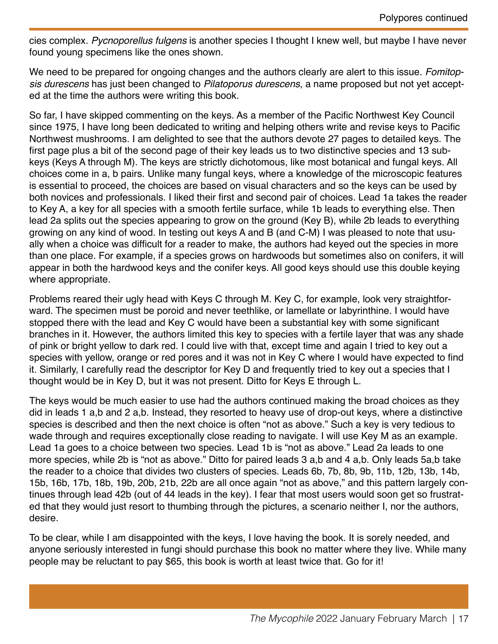cies complex. *Pycnoporellus fulgens* is another species I thought I knew well, but maybe I have never found young specimens like the ones shown.

We need to be prepared for ongoing changes and the authors clearly are alert to this issue. *Fomitopsis durescens* has just been changed to *Pilatoporus durescens*, a name proposed but not yet accepted at the time the authors were writing this book.

So far, I have skipped commenting on the keys. As a member of the Pacific Northwest Key Council since 1975, I have long been dedicated to writing and helping others write and revise keys to Pacific Northwest mushrooms. I am delighted to see that the authors devote 27 pages to detailed keys. The first page plus a bit of the second page of their key leads us to two distinctive species and 13 subkeys (Keys A through M). The keys are strictly dichotomous, like most botanical and fungal keys. All choices come in a, b pairs. Unlike many fungal keys, where a knowledge of the microscopic features is essential to proceed, the choices are based on visual characters and so the keys can be used by both novices and professionals. I liked their first and second pair of choices. Lead 1a takes the reader to Key A, a key for all species with a smooth fertile surface, while 1b leads to everything else. Then lead 2a splits out the species appearing to grow on the ground (Key B), while 2b leads to everything growing on any kind of wood. In testing out keys A and B (and C-M) I was pleased to note that usually when a choice was difficult for a reader to make, the authors had keyed out the species in more than one place. For example, if a species grows on hardwoods but sometimes also on conifers, it will appear in both the hardwood keys and the conifer keys. All good keys should use this double keying where appropriate.

Problems reared their ugly head with Keys C through M. Key C, for example, look very straightforward. The specimen must be poroid and never teethlike, or lamellate or labyrinthine. I would have stopped there with the lead and Key C would have been a substantial key with some significant branches in it. However, the authors limited this key to species with a fertile layer that was any shade of pink or bright yellow to dark red. I could live with that, except time and again I tried to key out a species with yellow, orange or red pores and it was not in Key C where I would have expected to find it. Similarly, I carefully read the descriptor for Key D and frequently tried to key out a species that I thought would be in Key D, but it was not present. Ditto for Keys E through L.

The keys would be much easier to use had the authors continued making the broad choices as they did in leads 1 a,b and 2 a,b. Instead, they resorted to heavy use of drop-out keys, where a distinctive species is described and then the next choice is often "not as above." Such a key is very tedious to wade through and requires exceptionally close reading to navigate. I will use Key M as an example. Lead 1a goes to a choice between two species. Lead 1b is "not as above." Lead 2a leads to one more species, while 2b is "not as above." Ditto for paired leads 3 a,b and 4 a,b. Only leads 5a,b take the reader to a choice that divides two clusters of species. Leads 6b, 7b, 8b, 9b, 11b, 12b, 13b, 14b, 15b, 16b, 17b, 18b, 19b, 20b, 21b, 22b are all once again "not as above," and this pattern largely continues through lead 42b (out of 44 leads in the key). I fear that most users would soon get so frustrated that they would just resort to thumbing through the pictures, a scenario neither I, nor the authors, desire.

To be clear, while I am disappointed with the keys, I love having the book. It is sorely needed, and anyone seriously interested in fungi should purchase this book no matter where they live. While many people may be reluctant to pay \$65, this book is worth at least twice that. Go for it!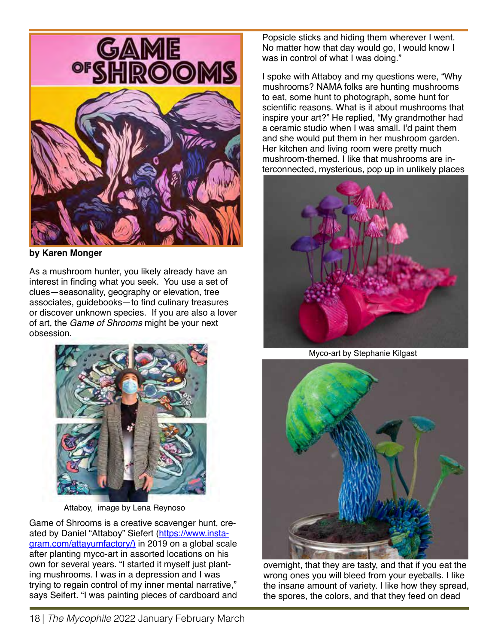

**by Karen Monger**

As a mushroom hunter, you likely already have an interest in finding what you seek. You use a set of clues—seasonality, geography or elevation, tree associates, guidebooks—to find culinary treasures or discover unknown species. If you are also a lover of art, the *Game of Shrooms* might be your next obsession.



Attaboy, image by Lena Reynoso

Game of Shrooms is a creative scavenger hunt, created by Daniel "Attaboy" Siefert ([https://www.ins](https://www.insta-gram.com/attayumfactory/)ta[gram.com/attayumfactory/\) in 2019 on a global scale](https://www.insta-gram.com/attayumfactory/)  after planting myco-art in assorted locations on his own for several years. "I started it myself just planting mushrooms. I was in a depression and I was trying to regain control of my inner mental narrative," says Seifert. "I was painting pieces of cardboard and Popsicle sticks and hiding them wherever I went. No matter how that day would go, I would know I was in control of what I was doing."

I spoke with Attaboy and my questions were, "Why mushrooms? NAMA folks are hunting mushrooms to eat, some hunt to photograph, some hunt for scientific reasons. What is it about mushrooms that inspire your art?" He replied, "My grandmother had a ceramic studio when I was small. I'd paint them and she would put them in her mushroom garden. Her kitchen and living room were pretty much mushroom-themed. I like that mushrooms are interconnected, mysterious, pop up in unlikely places



Myco-art by Stephanie Kilgast



overnight, that they are tasty, and that if you eat the wrong ones you will bleed from your eyeballs. I like the insane amount of variety. I like how they spread, the spores, the colors, and that they feed on dead